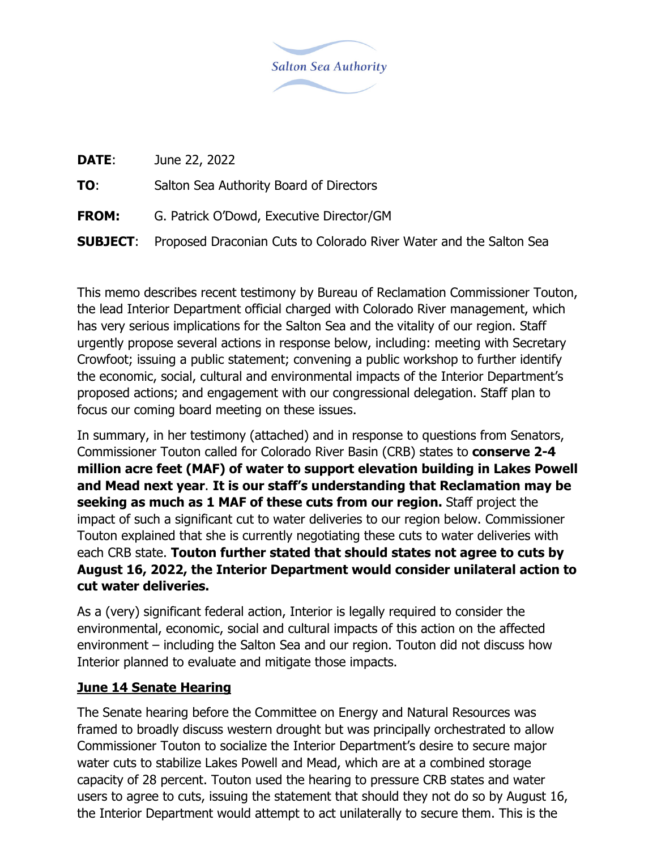

| DATE:        | June 22, 2022                                                                      |  |
|--------------|------------------------------------------------------------------------------------|--|
| TO:          | Salton Sea Authority Board of Directors                                            |  |
| <b>FROM:</b> | G. Patrick O'Dowd, Executive Director/GM                                           |  |
|              | <b>SUBJECT:</b> Proposed Draconian Cuts to Colorado River Water and the Salton Sea |  |
|              |                                                                                    |  |

This memo describes recent testimony by Bureau of Reclamation Commissioner Touton, the lead Interior Department official charged with Colorado River management, which has very serious implications for the Salton Sea and the vitality of our region. Staff urgently propose several actions in response below, including: meeting with Secretary Crowfoot; issuing a public statement; convening a public workshop to further identify the economic, social, cultural and environmental impacts of the Interior Department's proposed actions; and engagement with our congressional delegation. Staff plan to focus our coming board meeting on these issues.

In summary, in her testimony (attached) and in response to questions from Senators, Commissioner Touton called for Colorado River Basin (CRB) states to **conserve 2-4 million acre feet (MAF) of water to support elevation building in Lakes Powell and Mead next year**. **It is our staff's understanding that Reclamation may be seeking as much as 1 MAF of these cuts from our region.** Staff project the impact of such a significant cut to water deliveries to our region below. Commissioner Touton explained that she is currently negotiating these cuts to water deliveries with each CRB state. **Touton further stated that should states not agree to cuts by August 16, 2022, the Interior Department would consider unilateral action to cut water deliveries.**

As a (very) significant federal action, Interior is legally required to consider the environmental, economic, social and cultural impacts of this action on the affected environment – including the Salton Sea and our region. Touton did not discuss how Interior planned to evaluate and mitigate those impacts.

## **June 14 Senate Hearing**

The Senate hearing before the Committee on Energy and Natural Resources was framed to broadly discuss western drought but was principally orchestrated to allow Commissioner Touton to socialize the Interior Department's desire to secure major water cuts to stabilize Lakes Powell and Mead, which are at a combined storage capacity of 28 percent. Touton used the hearing to pressure CRB states and water users to agree to cuts, issuing the statement that should they not do so by August 16, the Interior Department would attempt to act unilaterally to secure them. This is the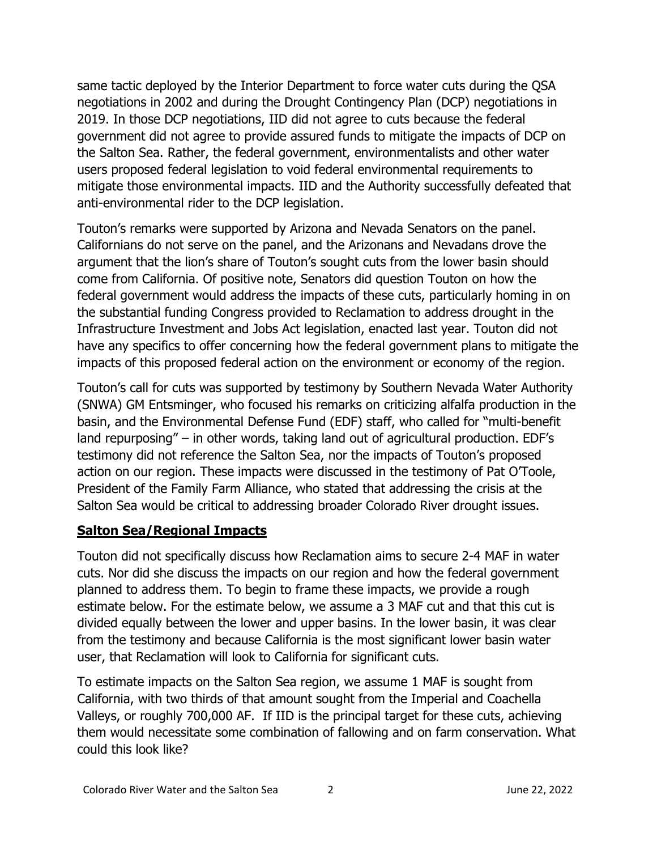same tactic deployed by the Interior Department to force water cuts during the QSA negotiations in 2002 and during the Drought Contingency Plan (DCP) negotiations in 2019. In those DCP negotiations, IID did not agree to cuts because the federal government did not agree to provide assured funds to mitigate the impacts of DCP on the Salton Sea. Rather, the federal government, environmentalists and other water users proposed federal legislation to void federal environmental requirements to mitigate those environmental impacts. IID and the Authority successfully defeated that anti-environmental rider to the DCP legislation.

Touton's remarks were supported by Arizona and Nevada Senators on the panel. Californians do not serve on the panel, and the Arizonans and Nevadans drove the argument that the lion's share of Touton's sought cuts from the lower basin should come from California. Of positive note, Senators did question Touton on how the federal government would address the impacts of these cuts, particularly homing in on the substantial funding Congress provided to Reclamation to address drought in the Infrastructure Investment and Jobs Act legislation, enacted last year. Touton did not have any specifics to offer concerning how the federal government plans to mitigate the impacts of this proposed federal action on the environment or economy of the region.

Touton's call for cuts was supported by testimony by Southern Nevada Water Authority (SNWA) GM Entsminger, who focused his remarks on criticizing alfalfa production in the basin, and the Environmental Defense Fund (EDF) staff, who called for "multi-benefit land repurposing" – in other words, taking land out of agricultural production. EDF's testimony did not reference the Salton Sea, nor the impacts of Touton's proposed action on our region. These impacts were discussed in the testimony of Pat O'Toole, President of the Family Farm Alliance, who stated that addressing the crisis at the Salton Sea would be critical to addressing broader Colorado River drought issues.

## **Salton Sea/Regional Impacts**

Touton did not specifically discuss how Reclamation aims to secure 2-4 MAF in water cuts. Nor did she discuss the impacts on our region and how the federal government planned to address them. To begin to frame these impacts, we provide a rough estimate below. For the estimate below, we assume a 3 MAF cut and that this cut is divided equally between the lower and upper basins. In the lower basin, it was clear from the testimony and because California is the most significant lower basin water user, that Reclamation will look to California for significant cuts.

To estimate impacts on the Salton Sea region, we assume 1 MAF is sought from California, with two thirds of that amount sought from the Imperial and Coachella Valleys, or roughly 700,000 AF. If IID is the principal target for these cuts, achieving them would necessitate some combination of fallowing and on farm conservation. What could this look like?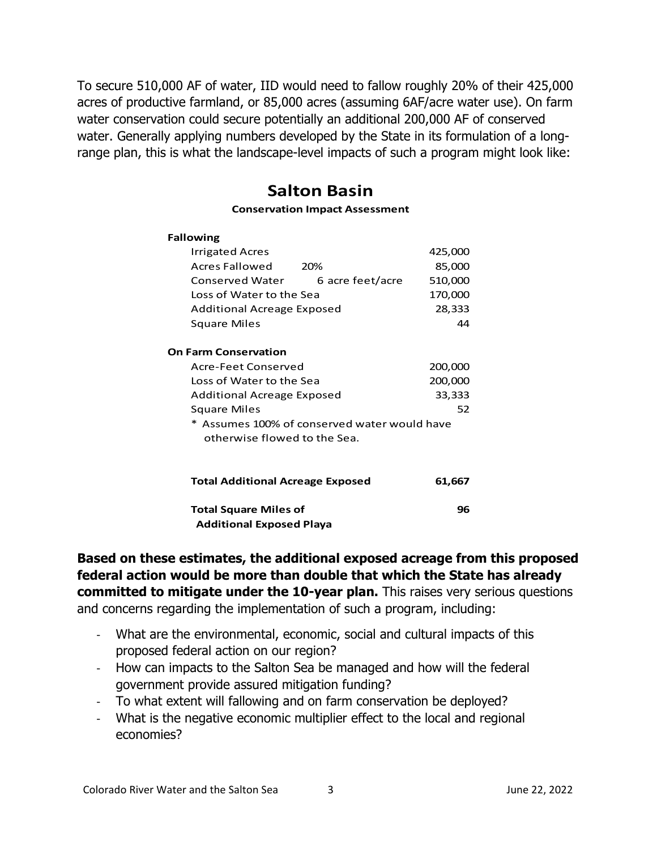To secure 510,000 AF of water, IID would need to fallow roughly 20% of their 425,000 acres of productive farmland, or 85,000 acres (assuming 6AF/acre water use). On farm water conservation could secure potentially an additional 200,000 AF of conserved water. Generally applying numbers developed by the State in its formulation of a longrange plan, this is what the landscape-level impacts of such a program might look like:

# **Salton Basin**

### **Conservation Impact Assessment**

#### **Fallowing**

|                      | Irrigated Acres                              |                  | 425,000 |  |  |
|----------------------|----------------------------------------------|------------------|---------|--|--|
|                      | Acres Fallowed                               | 20%              | 85,000  |  |  |
|                      | Conserved Water                              | 6 acre feet/acre | 510,000 |  |  |
|                      | Loss of Water to the Sea                     | 170,000          |         |  |  |
|                      | Additional Acreage Exposed                   | 28,333           |         |  |  |
|                      | Square Miles                                 |                  | 44      |  |  |
|                      |                                              |                  |         |  |  |
| On Farm Conservation |                                              |                  |         |  |  |
|                      | Acre-Feet Conserved                          | 200,000          |         |  |  |
|                      | Loss of Water to the Sea                     | 200,000          |         |  |  |
|                      | Additional Acreage Exposed                   | 33,333           |         |  |  |
|                      | Square Miles                                 |                  | 52      |  |  |
|                      | * Assumes 100% of conserved water would have |                  |         |  |  |
|                      | otherwise flowed to the Sea.                 |                  |         |  |  |
|                      |                                              |                  |         |  |  |
|                      |                                              |                  |         |  |  |
|                      | <b>Total Additional Acreage Exposed</b>      |                  | 61,667  |  |  |
|                      |                                              |                  |         |  |  |

**Total Square Miles of 96 Additional Exposed Playa**

**Based on these estimates, the additional exposed acreage from this proposed federal action would be more than double that which the State has already committed to mitigate under the 10-year plan.** This raises very serious questions and concerns regarding the implementation of such a program, including:

- ‐ What are the environmental, economic, social and cultural impacts of this proposed federal action on our region?
- ‐ How can impacts to the Salton Sea be managed and how will the federal government provide assured mitigation funding?
- ‐ To what extent will fallowing and on farm conservation be deployed?
- ‐ What is the negative economic multiplier effect to the local and regional economies?